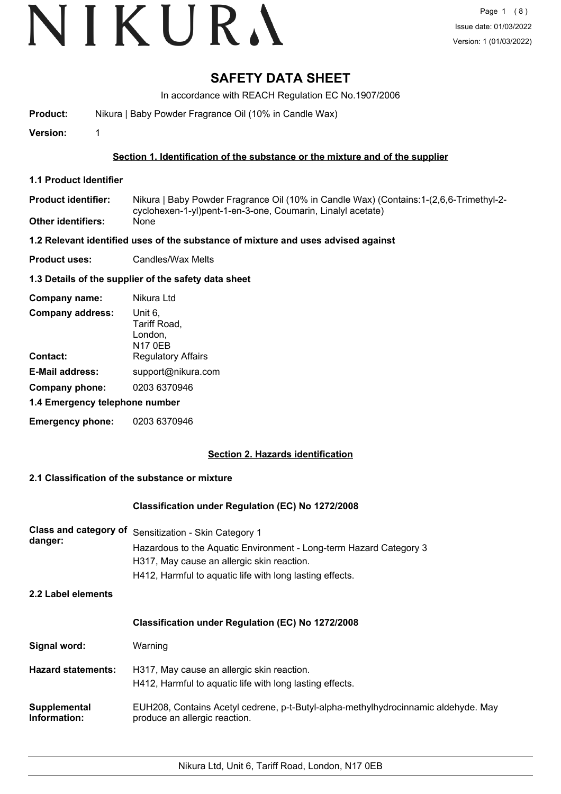## **SAFETY DATA SHEET**

In accordance with REACH Regulation EC No.1907/2006

**Product:** Nikura | Baby Powder Fragrance Oil (10% in Candle Wax)

**Version:** 1

#### **Section 1. Identification of the substance or the mixture and of the supplier**

- **1.1 Product Identifier**
- Nikura | Baby Powder Fragrance Oil (10% in Candle Wax) (Contains:1-(2,6,6-Trimethyl-2 cyclohexen-1-yl)pent-1-en-3-one, Coumarin, Linalyl acetate) **Product identifier: Other identifiers:** None

#### **1.2 Relevant identified uses of the substance of mixture and uses advised against**

**Product uses:** Candles/Wax Melts

#### **1.3 Details of the supplier of the safety data sheet**

| Company name:                  | Nikura Ltd                                           |  |
|--------------------------------|------------------------------------------------------|--|
| <b>Company address:</b>        | Unit 6,<br>Tariff Road,<br>London,<br><b>N17 0EB</b> |  |
| Contact:                       | <b>Regulatory Affairs</b>                            |  |
| <b>E-Mail address:</b>         | support@nikura.com                                   |  |
| Company phone:                 | 0203 6370946                                         |  |
| 1.4 Emergency telephone number |                                                      |  |
| <b>Emergency phone:</b>        | 0203 6370946                                         |  |

#### **Section 2. Hazards identification**

#### **2.1 Classification of the substance or mixture**

#### **Classification under Regulation (EC) No 1272/2008**

| <b>Class and category of</b><br>danger: | Sensitization - Skin Category 1<br>Hazardous to the Aquatic Environment - Long-term Hazard Category 3<br>H317, May cause an allergic skin reaction.<br>H412, Harmful to aquatic life with long lasting effects. |
|-----------------------------------------|-----------------------------------------------------------------------------------------------------------------------------------------------------------------------------------------------------------------|
| 2.2 Label elements                      |                                                                                                                                                                                                                 |
|                                         | <b>Classification under Regulation (EC) No 1272/2008</b>                                                                                                                                                        |
| Signal word:                            | Warning                                                                                                                                                                                                         |
| <b>Hazard statements:</b>               | H317, May cause an allergic skin reaction.<br>H412, Harmful to aquatic life with long lasting effects.                                                                                                          |
| Supplemental<br>Information:            | EUH208, Contains Acetyl cedrene, p-t-Butyl-alpha-methylhydrocinnamic aldehyde. May<br>produce an allergic reaction.                                                                                             |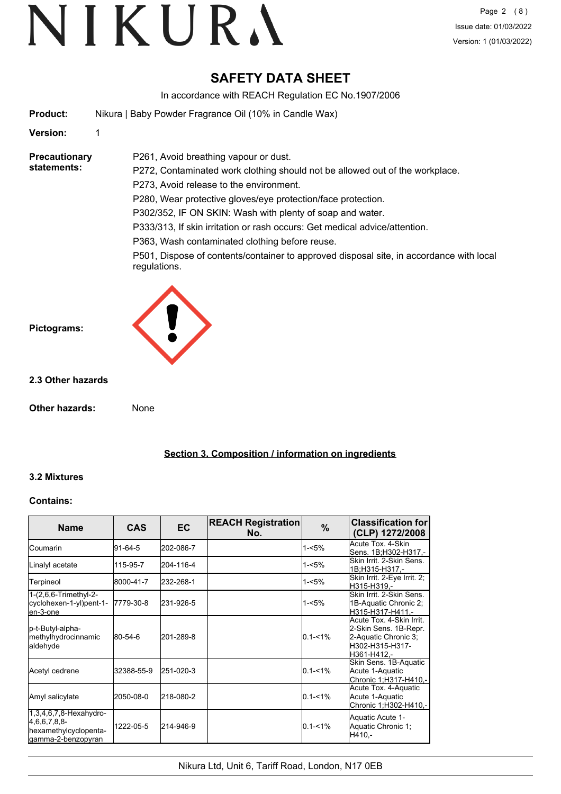## **SAFETY DATA SHEET**

In accordance with REACH Regulation EC No.1907/2006

**Product:** Nikura | Baby Powder Fragrance Oil (10% in Candle Wax)

P261, Avoid breathing vapour or dust.

#### **Version:** 1

**Precautionary statements:**

P272, Contaminated work clothing should not be allowed out of the workplace. P273, Avoid release to the environment.

P280, Wear protective gloves/eye protection/face protection.

P302/352, IF ON SKIN: Wash with plenty of soap and water.

P333/313, If skin irritation or rash occurs: Get medical advice/attention.

P363, Wash contaminated clothing before reuse.

P501, Dispose of contents/container to approved disposal site, in accordance with local regulations.



#### **2.3 Other hazards**

**Pictograms:**

**Other hazards:** None

**Section 3. Composition / information on ingredients**

#### **3.2 Mixtures**

#### **Contains:**

| <b>Name</b>                                                                               | <b>CAS</b> | <b>EC</b> | <b>REACH Registration</b><br>No. | $\%$        | <b>Classification for</b><br>(CLP) 1272/2008                                                                |
|-------------------------------------------------------------------------------------------|------------|-----------|----------------------------------|-------------|-------------------------------------------------------------------------------------------------------------|
| <b>ICoumarin</b>                                                                          | 91-64-5    | 202-086-7 |                                  | 1-<5%       | Acute Tox. 4-Skin<br>Sens. 1B;H302-H317.-                                                                   |
| Linalyl acetate                                                                           | 115-95-7   | 204-116-4 |                                  | 1-<5%       | Skin Irrit, 2-Skin Sens.<br>1B;H315-H317,-                                                                  |
| Terpineol                                                                                 | 8000-41-7  | 232-268-1 |                                  | 1-<5%       | Skin Irrit. 2-Eye Irrit. 2;<br>H315-H319,-                                                                  |
| 1-(2,6,6-Trimethyl-2-<br>cyclohexen-1-yl)pent-1-<br>en-3-one                              | 7779-30-8  | 231-926-5 |                                  | 1-<5%       | Skin Irrit, 2-Skin Sens.<br>1B-Aquatic Chronic 2;<br>H315-H317-H411,-                                       |
| p-t-Butyl-alpha-<br>methylhydrocinnamic<br>aldehyde                                       | 80-54-6    | 201-289-8 |                                  | $0.1 - 1\%$ | Acute Tox. 4-Skin Irrit.<br>2-Skin Sens. 1B-Repr.<br>2-Aquatic Chronic 3;<br>H302-H315-H317-<br>H361-H412.- |
| Acetyl cedrene                                                                            | 32388-55-9 | 251-020-3 |                                  | $0.1 - 1\%$ | Skin Sens. 1B-Aquatic<br>Acute 1-Aquatic<br>Chronic 1:H317-H410.-                                           |
| Amyl salicylate                                                                           | 2050-08-0  | 218-080-2 |                                  | $0.1 - 1%$  | Acute Tox. 4-Aquatic<br>Acute 1-Aquatic<br>Chronic 1;H302-H410,-                                            |
| $1,3,4,6,7,8$ -Hexahydro-<br>[4,6,6,7,8,8]<br>hexamethylcyclopenta-<br>gamma-2-benzopyran | 1222-05-5  | 214-946-9 |                                  | $0.1 - 1%$  | Aquatic Acute 1-<br>Aquatic Chronic 1;<br>H410.-                                                            |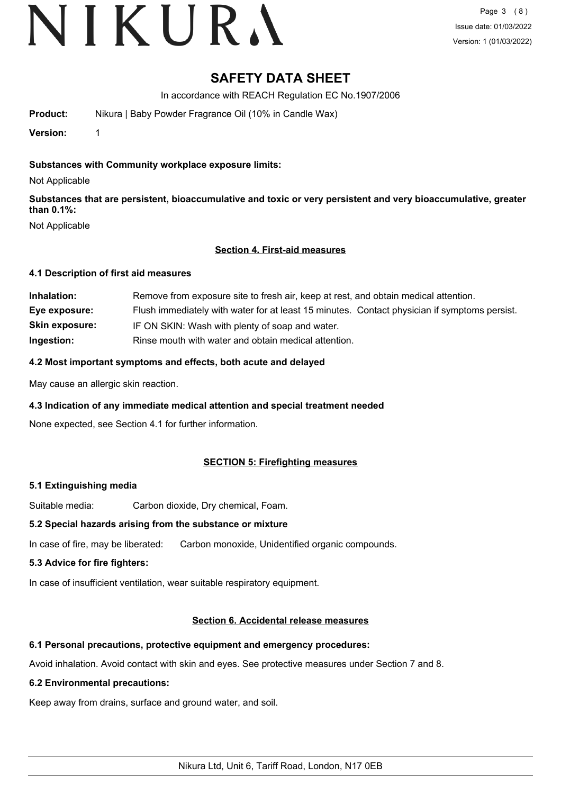# VIKURA

### **SAFETY DATA SHEET**

In accordance with REACH Regulation EC No.1907/2006

**Product:** Nikura | Baby Powder Fragrance Oil (10% in Candle Wax)

**Version:** 1

#### **Substances with Community workplace exposure limits:**

Not Applicable

**Substances that are persistent, bioaccumulative and toxic or very persistent and very bioaccumulative, greater than 0.1%:**

Not Applicable

#### **Section 4. First-aid measures**

#### **4.1 Description of first aid measures**

| Inhalation:           | Remove from exposure site to fresh air, keep at rest, and obtain medical attention.          |
|-----------------------|----------------------------------------------------------------------------------------------|
| Eye exposure:         | Flush immediately with water for at least 15 minutes. Contact physician if symptoms persist. |
| <b>Skin exposure:</b> | IF ON SKIN: Wash with plenty of soap and water.                                              |
| Ingestion:            | Rinse mouth with water and obtain medical attention.                                         |

#### **4.2 Most important symptoms and effects, both acute and delayed**

May cause an allergic skin reaction.

#### **4.3 Indication of any immediate medical attention and special treatment needed**

None expected, see Section 4.1 for further information.

#### **SECTION 5: Firefighting measures**

#### **5.1 Extinguishing media**

Suitable media: Carbon dioxide, Dry chemical, Foam.

#### **5.2 Special hazards arising from the substance or mixture**

In case of fire, may be liberated: Carbon monoxide, Unidentified organic compounds.

#### **5.3 Advice for fire fighters:**

In case of insufficient ventilation, wear suitable respiratory equipment.

#### **Section 6. Accidental release measures**

#### **6.1 Personal precautions, protective equipment and emergency procedures:**

Avoid inhalation. Avoid contact with skin and eyes. See protective measures under Section 7 and 8.

#### **6.2 Environmental precautions:**

Keep away from drains, surface and ground water, and soil.

Nikura Ltd, Unit 6, Tariff Road, London, N17 0EB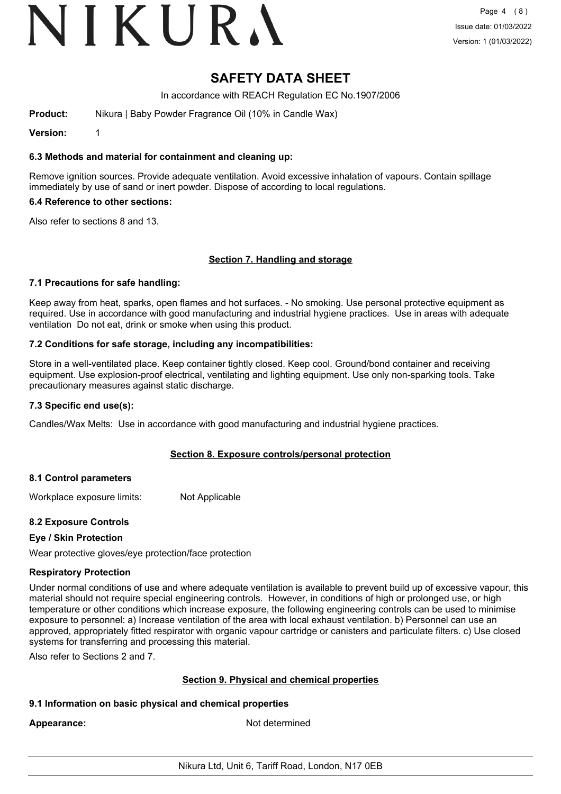### **SAFETY DATA SHEET**

In accordance with REACH Regulation EC No.1907/2006

**Product:** Nikura | Baby Powder Fragrance Oil (10% in Candle Wax)

**Version:** 1

#### **6.3 Methods and material for containment and cleaning up:**

Remove ignition sources. Provide adequate ventilation. Avoid excessive inhalation of vapours. Contain spillage immediately by use of sand or inert powder. Dispose of according to local regulations.

#### **6.4 Reference to other sections:**

Also refer to sections 8 and 13.

#### **Section 7. Handling and storage**

#### **7.1 Precautions for safe handling:**

Keep away from heat, sparks, open flames and hot surfaces. - No smoking. Use personal protective equipment as required. Use in accordance with good manufacturing and industrial hygiene practices. Use in areas with adequate ventilation Do not eat, drink or smoke when using this product.

#### **7.2 Conditions for safe storage, including any incompatibilities:**

Store in a well-ventilated place. Keep container tightly closed. Keep cool. Ground/bond container and receiving equipment. Use explosion-proof electrical, ventilating and lighting equipment. Use only non-sparking tools. Take precautionary measures against static discharge.

#### **7.3 Specific end use(s):**

Candles/Wax Melts: Use in accordance with good manufacturing and industrial hygiene practices.

#### **Section 8. Exposure controls/personal protection**

#### **8.1 Control parameters**

Workplace exposure limits: Not Applicable

#### **8.2 Exposure Controls**

#### **Eye / Skin Protection**

Wear protective gloves/eye protection/face protection

#### **Respiratory Protection**

Under normal conditions of use and where adequate ventilation is available to prevent build up of excessive vapour, this material should not require special engineering controls. However, in conditions of high or prolonged use, or high temperature or other conditions which increase exposure, the following engineering controls can be used to minimise exposure to personnel: a) Increase ventilation of the area with local exhaust ventilation. b) Personnel can use an approved, appropriately fitted respirator with organic vapour cartridge or canisters and particulate filters. c) Use closed systems for transferring and processing this material.

Also refer to Sections 2 and 7.

#### **Section 9. Physical and chemical properties**

#### **9.1 Information on basic physical and chemical properties**

Appearance: Not determined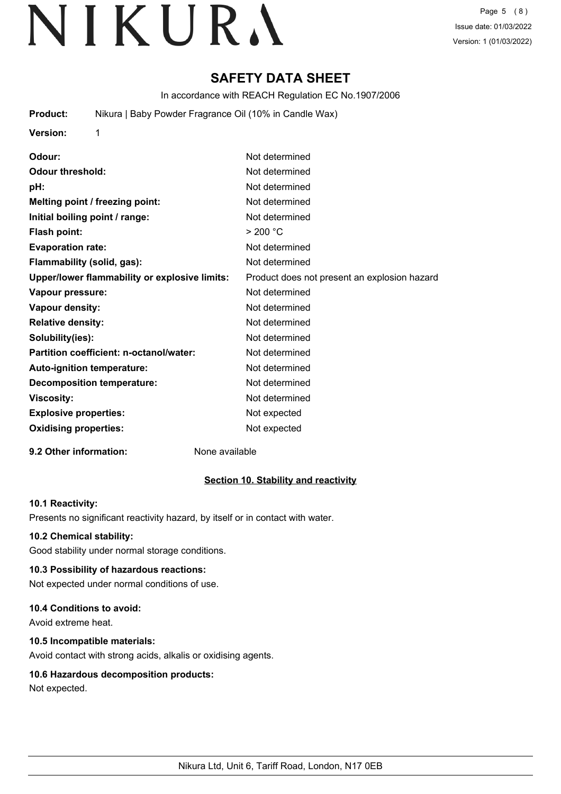## **SAFETY DATA SHEET**

In accordance with REACH Regulation EC No.1907/2006

**Product:** Nikura | Baby Powder Fragrance Oil (10% in Candle Wax)

| <b>Version:</b> |  |
|-----------------|--|
|                 |  |

| Odour:                                        | Not determined                               |
|-----------------------------------------------|----------------------------------------------|
| Odour threshold:                              | Not determined                               |
| pH:                                           | Not determined                               |
| Melting point / freezing point:               | Not determined                               |
| Initial boiling point / range:                | Not determined                               |
| <b>Flash point:</b>                           | > 200 °C                                     |
| <b>Evaporation rate:</b>                      | Not determined                               |
| Flammability (solid, gas):                    | Not determined                               |
| Upper/lower flammability or explosive limits: | Product does not present an explosion hazard |
| Vapour pressure:                              | Not determined                               |
| <b>Vapour density:</b>                        | Not determined                               |
| <b>Relative density:</b>                      | Not determined                               |
| Solubility(ies):                              | Not determined                               |
| Partition coefficient: n-octanol/water:       | Not determined                               |
| <b>Auto-ignition temperature:</b>             | Not determined                               |
| <b>Decomposition temperature:</b>             | Not determined                               |
| <b>Viscosity:</b>                             | Not determined                               |
| <b>Explosive properties:</b>                  | Not expected                                 |
| <b>Oxidising properties:</b>                  | Not expected                                 |
|                                               |                                              |

#### **9.2 Other information:** None available

#### **Section 10. Stability and reactivity**

#### **10.1 Reactivity:**

Presents no significant reactivity hazard, by itself or in contact with water.

#### **10.2 Chemical stability:**

Good stability under normal storage conditions.

### **10.3 Possibility of hazardous reactions:**

Not expected under normal conditions of use.

### **10.4 Conditions to avoid:**

Avoid extreme heat.

### **10.5 Incompatible materials:**

Avoid contact with strong acids, alkalis or oxidising agents.

### **10.6 Hazardous decomposition products:**

Not expected.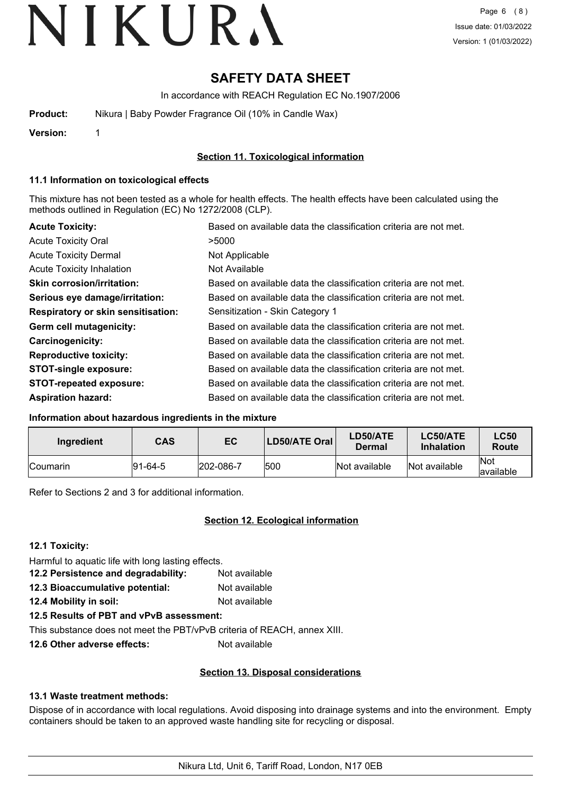## **SAFETY DATA SHEET**

In accordance with REACH Regulation EC No.1907/2006

| Product: | Nikura   Baby Powder Fragrance Oil (10% in Candle Wax) |
|----------|--------------------------------------------------------|
|          |                                                        |

**Version:** 1

**Section 11. Toxicological information**

#### **11.1 Information on toxicological effects**

This mixture has not been tested as a whole for health effects. The health effects have been calculated using the methods outlined in Regulation (EC) No 1272/2008 (CLP).

| <b>Acute Toxicity:</b>                    | Based on available data the classification criteria are not met. |
|-------------------------------------------|------------------------------------------------------------------|
| <b>Acute Toxicity Oral</b>                | >5000                                                            |
| <b>Acute Toxicity Dermal</b>              | Not Applicable                                                   |
| <b>Acute Toxicity Inhalation</b>          | Not Available                                                    |
| <b>Skin corrosion/irritation:</b>         | Based on available data the classification criteria are not met. |
| Serious eye damage/irritation:            | Based on available data the classification criteria are not met. |
| <b>Respiratory or skin sensitisation:</b> | Sensitization - Skin Category 1                                  |
| Germ cell mutagenicity:                   | Based on available data the classification criteria are not met. |
| <b>Carcinogenicity:</b>                   | Based on available data the classification criteria are not met. |
| <b>Reproductive toxicity:</b>             | Based on available data the classification criteria are not met. |
| <b>STOT-single exposure:</b>              | Based on available data the classification criteria are not met. |
| <b>STOT-repeated exposure:</b>            | Based on available data the classification criteria are not met. |
| <b>Aspiration hazard:</b>                 | Based on available data the classification criteria are not met. |

#### **Information about hazardous ingredients in the mixture**

| Ingredient      | <b>CAS</b> | EC        | <b>LD50/ATE Oral</b> | LD50/ATE<br>Dermal | <b>LC50/ATE</b><br><b>Inhalation</b> | <b>LC50</b><br>Route      |
|-----------------|------------|-----------|----------------------|--------------------|--------------------------------------|---------------------------|
| <b>Coumarin</b> | 191-64-5   | 202-086-7 | 1500                 | Not available      | Not available                        | <b>INot</b><br>lavailable |

Refer to Sections 2 and 3 for additional information.

#### **Section 12. Ecological information**

**12.1 Toxicity:**

Harmful to aquatic life with long lasting effects. **12.2 Persistence and degradability:** Not available **12.3 Bioaccumulative potential:** Not available

**12.4 Mobility in soil:** Not available

**12.5 Results of PBT and vPvB assessment:**

This substance does not meet the PBT/vPvB criteria of REACH, annex XIII.

**12.6 Other adverse effects:** Not available

#### **Section 13. Disposal considerations**

#### **13.1 Waste treatment methods:**

Dispose of in accordance with local regulations. Avoid disposing into drainage systems and into the environment. Empty containers should be taken to an approved waste handling site for recycling or disposal.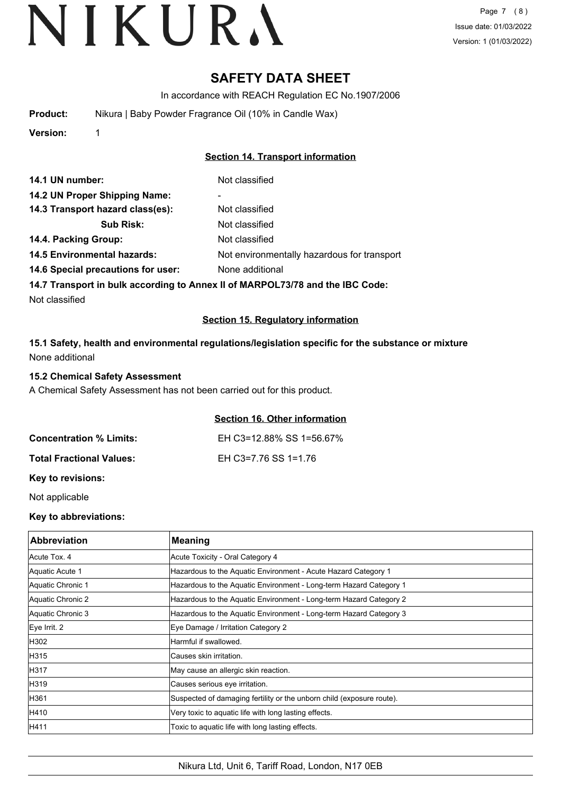## **SAFETY DATA SHEET**

In accordance with REACH Regulation EC No.1907/2006

| <b>Product:</b> | Nikura   Baby Powder Fragrance Oil (10% in Candle Wax) |  |
|-----------------|--------------------------------------------------------|--|
|-----------------|--------------------------------------------------------|--|

**Version:** 1

#### **Section 14. Transport information**

| 14.1 UN number:                    | Not classified                              |
|------------------------------------|---------------------------------------------|
| 14.2 UN Proper Shipping Name:      | ۰                                           |
| 14.3 Transport hazard class(es):   | Not classified                              |
| <b>Sub Risk:</b>                   | Not classified                              |
| 14.4. Packing Group:               | Not classified                              |
| <b>14.5 Environmental hazards:</b> | Not environmentally hazardous for transport |
| 14.6 Special precautions for user: | None additional                             |
|                                    |                                             |

**14.7 Transport in bulk according to Annex II of MARPOL73/78 and the IBC Code:**

Not classified

#### **Section 15. Regulatory information**

**15.1 Safety, health and environmental regulations/legislation specific for the substance or mixture** None additional

#### **15.2 Chemical Safety Assessment**

A Chemical Safety Assessment has not been carried out for this product.

#### **Section 16. Other information**

| <b>Concentration % Limits:</b>  | EH C3=12.88% SS 1=56.67% |
|---------------------------------|--------------------------|
| <b>Total Fractional Values:</b> | EH C3=7.76 SS 1=1.76     |

**Key to revisions:**

Not applicable

#### **Key to abbreviations:**

| <b>Abbreviation</b> | <b>Meaning</b>                                                        |
|---------------------|-----------------------------------------------------------------------|
| Acute Tox. 4        | Acute Toxicity - Oral Category 4                                      |
| Aquatic Acute 1     | Hazardous to the Aquatic Environment - Acute Hazard Category 1        |
| Aquatic Chronic 1   | Hazardous to the Aquatic Environment - Long-term Hazard Category 1    |
| Aquatic Chronic 2   | Hazardous to the Aquatic Environment - Long-term Hazard Category 2    |
| Aquatic Chronic 3   | Hazardous to the Aquatic Environment - Long-term Hazard Category 3    |
| Eye Irrit. 2        | Eye Damage / Irritation Category 2                                    |
| H302                | Harmful if swallowed.                                                 |
| H315                | Causes skin irritation.                                               |
| H317                | May cause an allergic skin reaction.                                  |
| H319                | Causes serious eye irritation.                                        |
| H361                | Suspected of damaging fertility or the unborn child (exposure route). |
| H410                | Very toxic to aquatic life with long lasting effects.                 |
| H411                | Toxic to aquatic life with long lasting effects.                      |